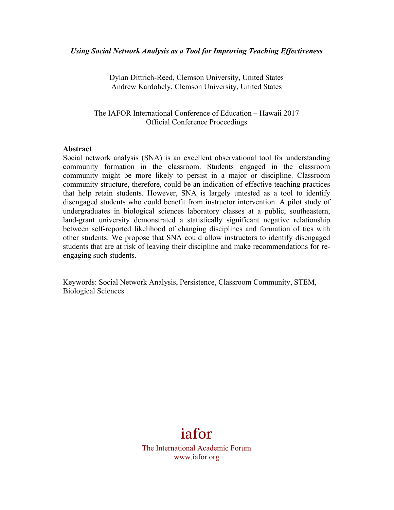### *Using Social Network Analysis as a Tool for Improving Teaching Effectiveness*

Dylan Dittrich-Reed, Clemson University, United States Andrew Kardohely, Clemson University, United States

The IAFOR International Conference of Education – Hawaii 2017 Official Conference Proceedings

### **Abstract**

Social network analysis (SNA) is an excellent observational tool for understanding community formation in the classroom. Students engaged in the classroom community might be more likely to persist in a major or discipline. Classroom community structure, therefore, could be an indication of effective teaching practices that help retain students. However, SNA is largely untested as a tool to identify disengaged students who could benefit from instructor intervention. A pilot study of undergraduates in biological sciences laboratory classes at a public, southeastern, land-grant university demonstrated a statistically significant negative relationship between self-reported likelihood of changing disciplines and formation of ties with other students. We propose that SNA could allow instructors to identify disengaged students that are at risk of leaving their discipline and make recommendations for reengaging such students.

Keywords: Social Network Analysis, Persistence, Classroom Community, STEM, Biological Sciences



The International Academic Forum www.iafor.org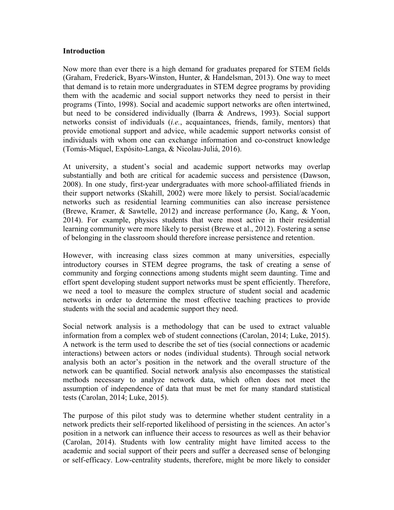### **Introduction**

Now more than ever there is a high demand for graduates prepared for STEM fields (Graham, Frederick, Byars-Winston, Hunter, & Handelsman, 2013). One way to meet that demand is to retain more undergraduates in STEM degree programs by providing them with the academic and social support networks they need to persist in their programs (Tinto, 1998). Social and academic support networks are often intertwined, but need to be considered individually (Ibarra & Andrews, 1993). Social support networks consist of individuals (*i.e.*, acquaintances, friends, family, mentors) that provide emotional support and advice, while academic support networks consist of individuals with whom one can exchange information and co-construct knowledge (Tomás-Miquel, Expósito-Langa, & Nicolau-Juliá, 2016).

At university, a student's social and academic support networks may overlap substantially and both are critical for academic success and persistence (Dawson, 2008). In one study, first-year undergraduates with more school-affiliated friends in their support networks (Skahill, 2002) were more likely to persist. Social/academic networks such as residential learning communities can also increase persistence (Brewe, Kramer, & Sawtelle, 2012) and increase performance (Jo, Kang, & Yoon, 2014). For example, physics students that were most active in their residential learning community were more likely to persist (Brewe et al., 2012). Fostering a sense of belonging in the classroom should therefore increase persistence and retention.

However, with increasing class sizes common at many universities, especially introductory courses in STEM degree programs, the task of creating a sense of community and forging connections among students might seem daunting. Time and effort spent developing student support networks must be spent efficiently. Therefore, we need a tool to measure the complex structure of student social and academic networks in order to determine the most effective teaching practices to provide students with the social and academic support they need.

Social network analysis is a methodology that can be used to extract valuable information from a complex web of student connections (Carolan, 2014; Luke, 2015). A network is the term used to describe the set of ties (social connections or academic interactions) between actors or nodes (individual students). Through social network analysis both an actor's position in the network and the overall structure of the network can be quantified. Social network analysis also encompasses the statistical methods necessary to analyze network data, which often does not meet the assumption of independence of data that must be met for many standard statistical tests (Carolan, 2014; Luke, 2015).

The purpose of this pilot study was to determine whether student centrality in a network predicts their self-reported likelihood of persisting in the sciences. An actor's position in a network can influence their access to resources as well as their behavior (Carolan, 2014). Students with low centrality might have limited access to the academic and social support of their peers and suffer a decreased sense of belonging or self-efficacy. Low-centrality students, therefore, might be more likely to consider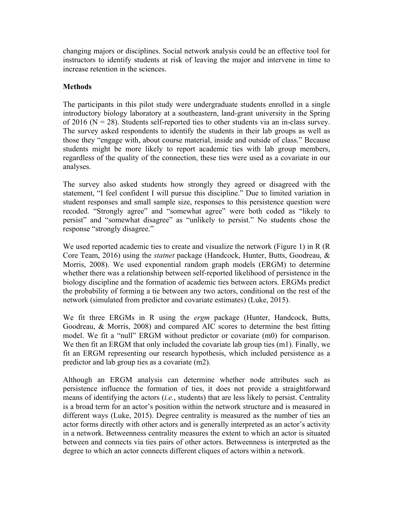changing majors or disciplines. Social network analysis could be an effective tool for instructors to identify students at risk of leaving the major and intervene in time to increase retention in the sciences.

# **Methods**

The participants in this pilot study were undergraduate students enrolled in a single introductory biology laboratory at a southeastern, land-grant university in the Spring of 2016 ( $N = 28$ ). Students self-reported ties to other students via an in-class survey. The survey asked respondents to identify the students in their lab groups as well as those they "engage with, about course material, inside and outside of class." Because students might be more likely to report academic ties with lab group members, regardless of the quality of the connection, these ties were used as a covariate in our analyses.

The survey also asked students how strongly they agreed or disagreed with the statement, "I feel confident I will pursue this discipline." Due to limited variation in student responses and small sample size, responses to this persistence question were recoded. "Strongly agree" and "somewhat agree" were both coded as "likely to persist" and "somewhat disagree" as "unlikely to persist." No students chose the response "strongly disagree."

We used reported academic ties to create and visualize the network (Figure 1) in R (R) Core Team, 2016) using the *statnet* package (Handcock, Hunter, Butts, Goodreau, & Morris, 2008). We used exponential random graph models (ERGM) to determine whether there was a relationship between self-reported likelihood of persistence in the biology discipline and the formation of academic ties between actors. ERGMs predict the probability of forming a tie between any two actors, conditional on the rest of the network (simulated from predictor and covariate estimates) (Luke, 2015).

We fit three ERGMs in R using the *ergm* package (Hunter, Handcock, Butts, Goodreau, & Morris, 2008) and compared AIC scores to determine the best fitting model. We fit a "null" ERGM without predictor or covariate (m0) for comparison. We then fit an ERGM that only included the covariate lab group ties (m1). Finally, we fit an ERGM representing our research hypothesis, which included persistence as a predictor and lab group ties as a covariate (m2).

Although an ERGM analysis can determine whether node attributes such as persistence influence the formation of ties, it does not provide a straightforward means of identifying the actors (*i.e.*, students) that are less likely to persist. Centrality is a broad term for an actor's position within the network structure and is measured in different ways (Luke, 2015). Degree centrality is measured as the number of ties an actor forms directly with other actors and is generally interpreted as an actor's activity in a network. Betweenness centrality measures the extent to which an actor is situated between and connects via ties pairs of other actors. Betweenness is interpreted as the degree to which an actor connects different cliques of actors within a network.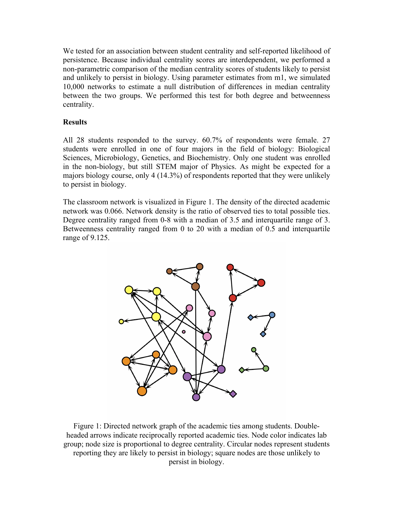We tested for an association between student centrality and self-reported likelihood of persistence. Because individual centrality scores are interdependent, we performed a non-parametric comparison of the median centrality scores of students likely to persist and unlikely to persist in biology. Using parameter estimates from m1, we simulated 10,000 networks to estimate a null distribution of differences in median centrality between the two groups. We performed this test for both degree and betweenness centrality.

## **Results**

All 28 students responded to the survey. 60.7% of respondents were female. 27 students were enrolled in one of four majors in the field of biology: Biological Sciences, Microbiology, Genetics, and Biochemistry. Only one student was enrolled in the non-biology, but still STEM major of Physics. As might be expected for a majors biology course, only 4 (14.3%) of respondents reported that they were unlikely to persist in biology.

The classroom network is visualized in Figure 1. The density of the directed academic network was 0.066. Network density is the ratio of observed ties to total possible ties. Degree centrality ranged from 0-8 with a median of 3.5 and interquartile range of 3. Betweenness centrality ranged from 0 to 20 with a median of 0.5 and interquartile range of 9.125.



Figure 1: Directed network graph of the academic ties among students. Doubleheaded arrows indicate reciprocally reported academic ties. Node color indicates lab group; node size is proportional to degree centrality. Circular nodes represent students reporting they are likely to persist in biology; square nodes are those unlikely to persist in biology.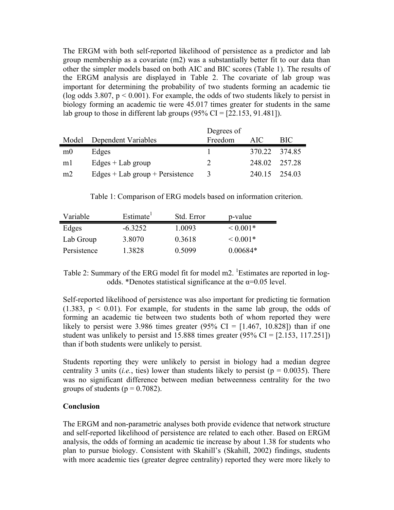The ERGM with both self-reported likelihood of persistence as a predictor and lab group membership as a covariate (m2) was a substantially better fit to our data than other the simpler models based on both AIC and BIC scores (Table 1). The results of the ERGM analysis are displayed in Table 2. The covariate of lab group was important for determining the probability of two students forming an academic tie (log odds 3.807,  $p < 0.001$ ). For example, the odds of two students likely to persist in biology forming an academic tie were 45.017 times greater for students in the same lab group to those in different lab groups  $(95\% \text{ CI} = [22.153, 91.481])$ .

|                |                                     | Degrees of |               |               |
|----------------|-------------------------------------|------------|---------------|---------------|
|                | Model Dependent Variables           | Freedom    | AIC.          | BIC.          |
| m <sub>0</sub> | Edges                               |            | 370.22 374.85 |               |
| m <sub>l</sub> | $Edges + Lab$ group                 |            |               | 248.02 257.28 |
| m <sub>2</sub> | Edges $+$ Lab group $+$ Persistence | -3         |               | 240 15 254 03 |

Table 1: Comparison of ERG models based on information criterion.

| Variable    | Estimate <sup>1</sup> | Std. Error | p-value       |
|-------------|-----------------------|------------|---------------|
| Edges       | $-6.3252$             | 1 0093     | $\leq 0.001*$ |
| Lab Group   | 3.8070                | 0.3618     | $\leq 0.001*$ |
| Persistence | 1 3828                | 0.5099     | $0.00684*$    |

Table 2: Summary of the ERG model fit for model  $m2$ . <sup>1</sup>Estimates are reported in logodds. \*Denotes statistical significance at the  $\alpha$ =0.05 level.

Self-reported likelihood of persistence was also important for predicting tie formation  $(1.383, p \le 0.01)$ . For example, for students in the same lab group, the odds of forming an academic tie between two students both of whom reported they were likely to persist were 3.986 times greater (95% CI =  $[1.467, 10.828]$ ) than if one student was unlikely to persist and  $15.888$  times greater  $(95\% \text{ CI} = [2.153, 117.251])$ than if both students were unlikely to persist.

Students reporting they were unlikely to persist in biology had a median degree centrality 3 units (*i.e.*, ties) lower than students likely to persist ( $p = 0.0035$ ). There was no significant difference between median betweenness centrality for the two groups of students ( $p = 0.7082$ ).

### **Conclusion**

The ERGM and non-parametric analyses both provide evidence that network structure and self-reported likelihood of persistence are related to each other. Based on ERGM analysis, the odds of forming an academic tie increase by about 1.38 for students who plan to pursue biology. Consistent with Skahill's (Skahill, 2002) findings, students with more academic ties (greater degree centrality) reported they were more likely to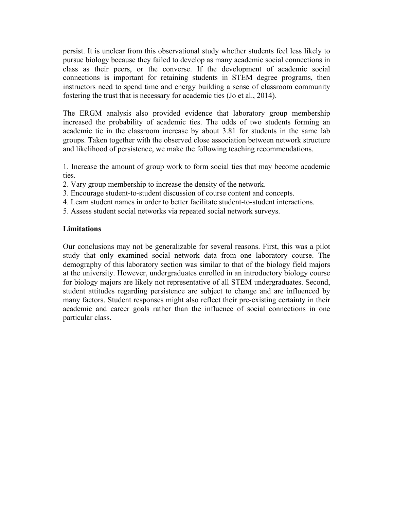persist. It is unclear from this observational study whether students feel less likely to pursue biology because they failed to develop as many academic social connections in class as their peers, or the converse. If the development of academic social connections is important for retaining students in STEM degree programs, then instructors need to spend time and energy building a sense of classroom community fostering the trust that is necessary for academic ties (Jo et al., 2014).

The ERGM analysis also provided evidence that laboratory group membership increased the probability of academic ties. The odds of two students forming an academic tie in the classroom increase by about 3.81 for students in the same lab groups. Taken together with the observed close association between network structure and likelihood of persistence, we make the following teaching recommendations.

1. Increase the amount of group work to form social ties that may become academic ties.

- 2. Vary group membership to increase the density of the network.
- 3. Encourage student-to-student discussion of course content and concepts.
- 4. Learn student names in order to better facilitate student-to-student interactions.
- 5. Assess student social networks via repeated social network surveys.

### **Limitations**

Our conclusions may not be generalizable for several reasons. First, this was a pilot study that only examined social network data from one laboratory course. The demography of this laboratory section was similar to that of the biology field majors at the university. However, undergraduates enrolled in an introductory biology course for biology majors are likely not representative of all STEM undergraduates. Second, student attitudes regarding persistence are subject to change and are influenced by many factors. Student responses might also reflect their pre-existing certainty in their academic and career goals rather than the influence of social connections in one particular class.